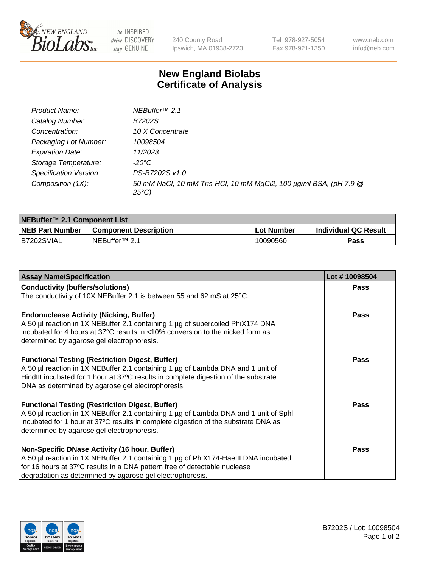

 $be$  INSPIRED drive DISCOVERY stay GENUINE

240 County Road Ipswich, MA 01938-2723 Tel 978-927-5054 Fax 978-921-1350 www.neb.com info@neb.com

## **New England Biolabs Certificate of Analysis**

| Product Name:           | NEBuffer <sup>™</sup> 2.1                                                          |
|-------------------------|------------------------------------------------------------------------------------|
| Catalog Number:         | B7202S                                                                             |
| Concentration:          | 10 X Concentrate                                                                   |
| Packaging Lot Number:   | 10098504                                                                           |
| <b>Expiration Date:</b> | 11/2023                                                                            |
| Storage Temperature:    | -20°C                                                                              |
| Specification Version:  | PS-B7202S v1.0                                                                     |
| Composition (1X):       | 50 mM NaCl, 10 mM Tris-HCl, 10 mM MgCl2, 100 µg/ml BSA, (pH 7.9 @<br>$25^{\circ}C$ |

| NEBuffer <sup>™</sup> 2.1 Component List |                              |                   |                      |  |  |
|------------------------------------------|------------------------------|-------------------|----------------------|--|--|
| <b>NEB Part Number</b>                   | <b>Component Description</b> | <b>Lot Number</b> | Individual QC Result |  |  |
| B7202SVIAL                               | NEBuffer™ 2.1                | 10090560          | <b>Pass</b>          |  |  |

| <b>Assay Name/Specification</b>                                                                                                                                                                                                                                                       | Lot #10098504 |
|---------------------------------------------------------------------------------------------------------------------------------------------------------------------------------------------------------------------------------------------------------------------------------------|---------------|
| <b>Conductivity (buffers/solutions)</b>                                                                                                                                                                                                                                               | <b>Pass</b>   |
| The conductivity of 10X NEBuffer 2.1 is between 55 and 62 mS at 25°C.                                                                                                                                                                                                                 |               |
| <b>Endonuclease Activity (Nicking, Buffer)</b><br>A 50 µl reaction in 1X NEBuffer 2.1 containing 1 µg of supercoiled PhiX174 DNA<br>incubated for 4 hours at 37°C results in <10% conversion to the nicked form as<br>determined by agarose gel electrophoresis.                      | <b>Pass</b>   |
| <b>Functional Testing (Restriction Digest, Buffer)</b><br>A 50 µl reaction in 1X NEBuffer 2.1 containing 1 µg of Lambda DNA and 1 unit of<br>HindIII incubated for 1 hour at 37°C results in complete digestion of the substrate<br>DNA as determined by agarose gel electrophoresis. | <b>Pass</b>   |
| <b>Functional Testing (Restriction Digest, Buffer)</b><br>A 50 µl reaction in 1X NEBuffer 2.1 containing 1 µg of Lambda DNA and 1 unit of Sphl<br>incubated for 1 hour at 37°C results in complete digestion of the substrate DNA as<br>determined by agarose gel electrophoresis.    | Pass          |
| Non-Specific DNase Activity (16 hour, Buffer)<br>A 50 µl reaction in 1X NEBuffer 2.1 containing 1 µg of PhiX174-HaellI DNA incubated<br>for 16 hours at 37°C results in a DNA pattern free of detectable nuclease<br>degradation as determined by agarose gel electrophoresis.        | Pass          |